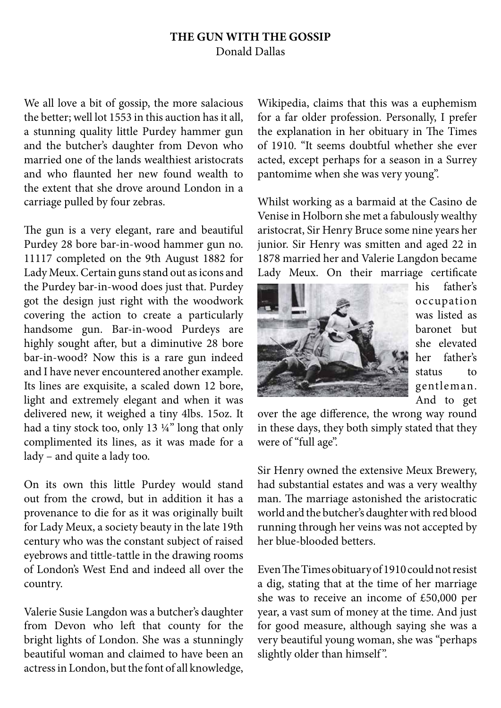## **THE GUN WITH THE GOSSIP**  Donald Dallas

We all love a bit of gossip, the more salacious the better; well lot 1553 in this auction has it all, a stunning quality little Purdey hammer gun and the butcher's daughter from Devon who married one of the lands wealthiest aristocrats and who flaunted her new found wealth to the extent that she drove around London in a carriage pulled by four zebras.

The gun is a very elegant, rare and beautiful Purdey 28 bore bar-in-wood hammer gun no. 11117 completed on the 9th August 1882 for Lady Meux. Certain guns stand out as icons and the Purdey bar-in-wood does just that. Purdey got the design just right with the woodwork covering the action to create a particularly handsome gun. Bar-in-wood Purdeys are highly sought after, but a diminutive 28 bore bar-in-wood? Now this is a rare gun indeed and I have never encountered another example. Its lines are exquisite, a scaled down 12 bore, light and extremely elegant and when it was delivered new, it weighed a tiny 4lbs. 15oz. It had a tiny stock too, only 13 ¼" long that only complimented its lines, as it was made for a lady – and quite a lady too.

On its own this little Purdey would stand out from the crowd, but in addition it has a provenance to die for as it was originally built for Lady Meux, a society beauty in the late 19th century who was the constant subject of raised eyebrows and tittle-tattle in the drawing rooms of London's West End and indeed all over the country.

Valerie Susie Langdon was a butcher's daughter from Devon who left that county for the bright lights of London. She was a stunningly beautiful woman and claimed to have been an actress in London, but the font of all knowledge,

Wikipedia, claims that this was a euphemism for a far older profession. Personally, I prefer the explanation in her obituary in The Times of 1910. "It seems doubtful whether she ever acted, except perhaps for a season in a Surrey pantomime when she was very young".

Whilst working as a barmaid at the Casino de Venise in Holborn she met a fabulously wealthy aristocrat, Sir Henry Bruce some nine years her junior. Sir Henry was smitten and aged 22 in 1878 married her and Valerie Langdon became Lady Meux. On their marriage certificate



his father's occupation was listed as baronet but she elevated her father's status to gentleman. And to get

over the age difference, the wrong way round in these days, they both simply stated that they were of "full age".

Sir Henry owned the extensive Meux Brewery, had substantial estates and was a very wealthy man. The marriage astonished the aristocratic world and the butcher's daughter with red blood running through her veins was not accepted by her blue-blooded betters.

Even The Times obituary of 1910 could not resist a dig, stating that at the time of her marriage she was to receive an income of £50,000 per year, a vast sum of money at the time. And just for good measure, although saying she was a very beautiful young woman, she was "perhaps slightly older than himself".